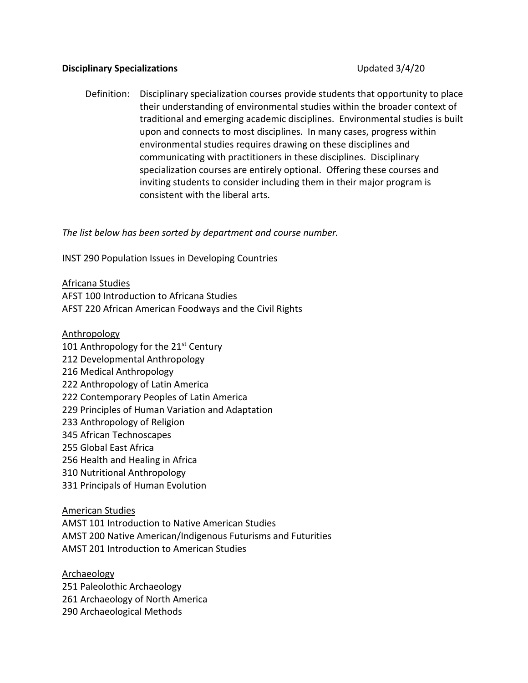# **Disciplinary Specializations** Updated 3/4/20

Definition: Disciplinary specialization courses provide students that opportunity to place their understanding of environmental studies within the broader context of traditional and emerging academic disciplines. Environmental studies is built upon and connects to most disciplines. In many cases, progress within environmental studies requires drawing on these disciplines and communicating with practitioners in these disciplines. Disciplinary specialization courses are entirely optional. Offering these courses and inviting students to consider including them in their major program is consistent with the liberal arts.

*The list below has been sorted by department and course number.* 

INST 290 Population Issues in Developing Countries

### Africana Studies

AFST 100 Introduction to Africana Studies AFST 220 African American Foodways and the Civil Rights

# Anthropology

- 101 Anthropology for the  $21<sup>st</sup>$  Century 212 Developmental Anthropology 216 Medical Anthropology
- 222 Anthropology of Latin America
- 222 Contemporary Peoples of Latin America
- 229 Principles of Human Variation and Adaptation
- 233 Anthropology of Religion
- 345 African Technoscapes
- 255 Global East Africa
- 256 Health and Healing in Africa
- 310 Nutritional Anthropology
- 331 Principals of Human Evolution

### American Studies

AMST 101 Introduction to Native American Studies AMST 200 Native American/Indigenous Futurisms and Futurities AMST 201 Introduction to American Studies

## Archaeology

251 Paleolothic Archaeology 261 Archaeology of North America 290 Archaeological Methods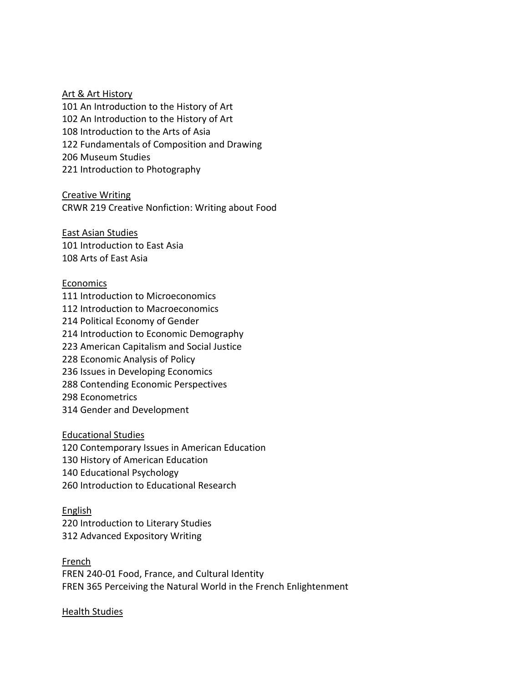### Art & Art History

101 An Introduction to the History of Art 102 An Introduction to the History of Art 108 Introduction to the Arts of Asia 122 Fundamentals of Composition and Drawing 206 Museum Studies 221 Introduction to Photography

Creative Writing CRWR 219 Creative Nonfiction: Writing about Food

East Asian Studies 101 Introduction to East Asia 108 Arts of East Asia

# Economics

111 Introduction to Microeconomics 112 Introduction to Macroeconomics 214 Political Economy of Gender 214 Introduction to Economic Demography 223 American Capitalism and Social Justice 228 Economic Analysis of Policy 236 Issues in Developing Economics 288 Contending Economic Perspectives 298 Econometrics 314 Gender and Development

### Educational Studies

120 Contemporary Issues in American Education 130 History of American Education 140 Educational Psychology 260 Introduction to Educational Research

### English

220 Introduction to Literary Studies 312 Advanced Expository Writing

French FREN 240-01 Food, France, and Cultural Identity FREN 365 Perceiving the Natural World in the French Enlightenment

### Health Studies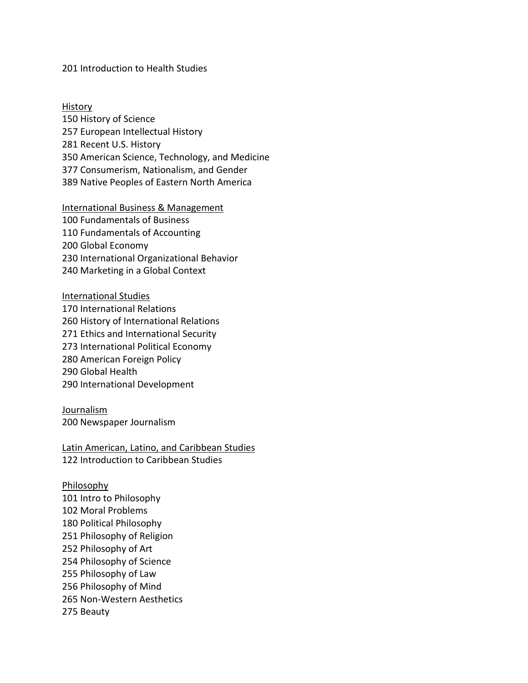## 201 Introduction to Health Studies

History 150 History of Science 257 European Intellectual History 281 Recent U.S. History 350 American Science, Technology, and Medicine 377 Consumerism, Nationalism, and Gender 389 Native Peoples of Eastern North America

#### International Business & Management

100 Fundamentals of Business 110 Fundamentals of Accounting 200 Global Economy 230 International Organizational Behavior 240 Marketing in a Global Context

International Studies 170 International Relations 260 History of International Relations 271 Ethics and International Security 273 International Political Economy 280 American Foreign Policy 290 Global Health 290 International Development

**Journalism** 200 Newspaper Journalism

Latin American, Latino, and Caribbean Studies 122 Introduction to Caribbean Studies

Philosophy 101 Intro to Philosophy 102 Moral Problems 180 Political Philosophy 251 Philosophy of Religion 252 Philosophy of Art 254 Philosophy of Science 255 Philosophy of Law 256 Philosophy of Mind 265 Non-Western Aesthetics 275 Beauty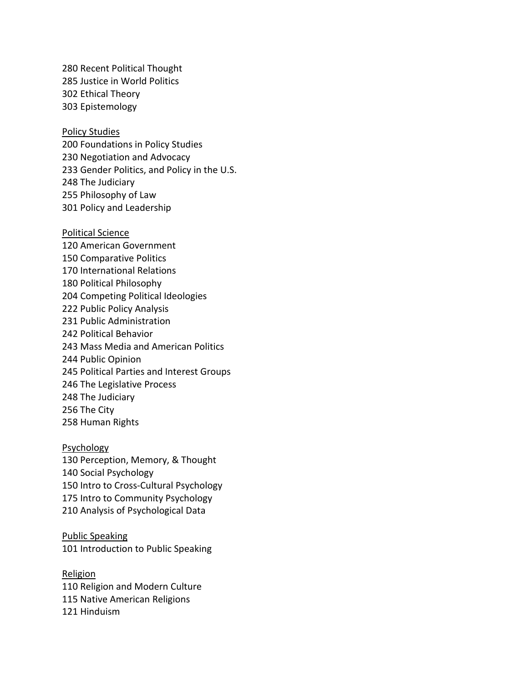280 Recent Political Thought 285 Justice in World Politics 302 Ethical Theory 303 Epistemology

#### Policy Studies

200 Foundations in Policy Studies 230 Negotiation and Advocacy 233 Gender Politics, and Policy in the U.S. 248 The Judiciary 255 Philosophy of Law 301 Policy and Leadership

Political Science 120 American Government 150 Comparative Politics 170 International Relations 180 Political Philosophy 204 Competing Political Ideologies 222 Public Policy Analysis 231 Public Administration 242 Political Behavior 243 Mass Media and American Politics 244 Public Opinion 245 Political Parties and Interest Groups 246 The Legislative Process 248 The Judiciary 256 The City 258 Human Rights

## Psychology

130 Perception, Memory, & Thought 140 Social Psychology 150 Intro to Cross-Cultural Psychology 175 Intro to Community Psychology 210 Analysis of Psychological Data

Public Speaking 101 Introduction to Public Speaking

Religion 110 Religion and Modern Culture 115 Native American Religions 121 Hinduism